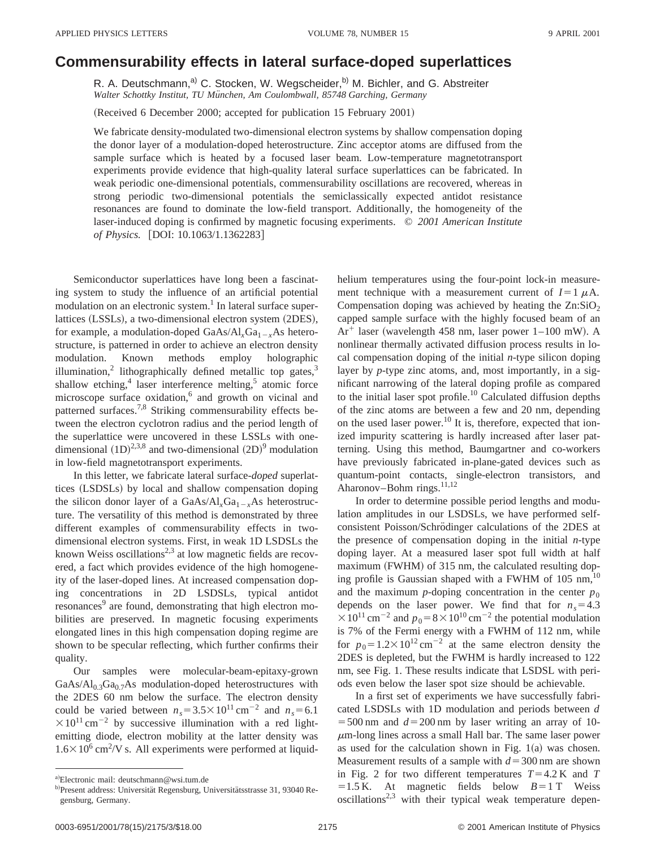## **Commensurability effects in lateral surface-doped superlattices**

R. A. Deutschmann,<sup>a)</sup> C. Stocken, W. Wegscheider, <sup>b)</sup> M. Bichler, and G. Abstreiter Walter Schottky Institut, TU München, Am Coulombwall, 85748 Garching, Germany

(Received 6 December 2000; accepted for publication 15 February 2001)

We fabricate density-modulated two-dimensional electron systems by shallow compensation doping the donor layer of a modulation-doped heterostructure. Zinc acceptor atoms are diffused from the sample surface which is heated by a focused laser beam. Low-temperature magnetotransport experiments provide evidence that high-quality lateral surface superlattices can be fabricated. In weak periodic one-dimensional potentials, commensurability oscillations are recovered, whereas in strong periodic two-dimensional potentials the semiclassically expected antidot resistance resonances are found to dominate the low-field transport. Additionally, the homogeneity of the laser-induced doping is confirmed by magnetic focusing experiments. © *2001 American Institute of Physics.* [DOI: 10.1063/1.1362283]

Semiconductor superlattices have long been a fascinating system to study the influence of an artificial potential modulation on an electronic system. $<sup>1</sup>$  In lateral surface super-</sup> lattices (LSSLs), a two-dimensional electron system (2DES), for example, a modulation-doped  $GaAs/Al<sub>x</sub>Ga<sub>1-x</sub>As hetero$ structure, is patterned in order to achieve an electron density modulation. Known methods employ holographic illumination,<sup>2</sup> lithographically defined metallic top gates,<sup>3</sup> shallow etching, $4$  laser interference melting, $5$  atomic force microscope surface oxidation,<sup>6</sup> and growth on vicinal and patterned surfaces.<sup>7,8</sup> Striking commensurability effects between the electron cyclotron radius and the period length of the superlattice were uncovered in these LSSLs with onedimensional  $(1D)^{2,3,8}$  and two-dimensional  $(2D)^9$  modulation in low-field magnetotransport experiments.

In this letter, we fabricate lateral surface-*doped* superlattices (LSDSLs) by local and shallow compensation doping the silicon donor layer of a  $GaAs/Al<sub>x</sub>Ga<sub>1-x</sub>As heterostruc$ ture. The versatility of this method is demonstrated by three different examples of commensurability effects in twodimensional electron systems. First, in weak 1D LSDSLs the known Weiss oscillations<sup>2,3</sup> at low magnetic fields are recovered, a fact which provides evidence of the high homogeneity of the laser-doped lines. At increased compensation doping concentrations in 2D LSDSLs, typical antidot resonances<sup>9</sup> are found, demonstrating that high electron mobilities are preserved. In magnetic focusing experiments elongated lines in this high compensation doping regime are shown to be specular reflecting, which further confirms their quality.

Our samples were molecular-beam-epitaxy-grown  $GaAs/Al_{0.3}Ga<sub>0.7</sub>As modulation-doped heterostructures with$ the 2DES 60 nm below the surface. The electron density could be varied between  $n_s = 3.5 \times 10^{11} \text{ cm}^{-2}$  and  $n_s = 6.1$  $\times 10^{11}$  cm<sup>-2</sup> by successive illumination with a red lightemitting diode, electron mobility at the latter density was  $1.6 \times 10^6$  cm<sup>2</sup>/V s. All experiments were performed at liquidhelium temperatures using the four-point lock-in measurement technique with a measurement current of  $I=1 \mu A$ . Compensation doping was achieved by heating the  $Zn:SiO<sub>2</sub>$ capped sample surface with the highly focused beam of an  $Ar^+$  laser (wavelength 458 nm, laser power 1–100 mW). A nonlinear thermally activated diffusion process results in local compensation doping of the initial *n*-type silicon doping layer by *p*-type zinc atoms, and, most importantly, in a significant narrowing of the lateral doping profile as compared to the initial laser spot profile.<sup>10</sup> Calculated diffusion depths of the zinc atoms are between a few and 20 nm, depending on the used laser power.<sup>10</sup> It is, therefore, expected that ionized impurity scattering is hardly increased after laser patterning. Using this method, Baumgartner and co-workers have previously fabricated in-plane-gated devices such as quantum-point contacts, single-electron transistors, and Aharonov–Bohm rings.<sup>11,12</sup>

In order to determine possible period lengths and modulation amplitudes in our LSDSLs, we have performed selfconsistent Poisson/Schrödinger calculations of the 2DES at the presence of compensation doping in the initial *n*-type doping layer. At a measured laser spot full width at half maximum (FWHM) of  $315$  nm, the calculated resulting doping profile is Gaussian shaped with a FWHM of  $105 \text{ nm}$ ,<sup>10</sup> and the maximum *p*-doping concentration in the center  $p_0$ depends on the laser power. We find that for  $n_s = 4.3$  $\times 10^{11}$  cm<sup>-2</sup> and  $p_0 = 8 \times 10^{10}$  cm<sup>-2</sup> the potential modulation is 7% of the Fermi energy with a FWHM of 112 nm, while for  $p_0 = 1.2 \times 10^{12} \text{ cm}^{-2}$  at the same electron density the 2DES is depleted, but the FWHM is hardly increased to 122 nm, see Fig. 1. These results indicate that LSDSL with periods even below the laser spot size should be achievable.

In a first set of experiments we have successfully fabricated LSDSLs with 1D modulation and periods between *d*  $=$  500 nm and  $d=$  200 nm by laser writing an array of 10- $\mu$ m-long lines across a small Hall bar. The same laser power as used for the calculation shown in Fig.  $1(a)$  was chosen. Measurement results of a sample with  $d=300$  nm are shown in Fig. 2 for two different temperatures  $T=4.2$  K and *T*  $=1.5$  K. At magnetic fields below  $B=1$  T Weiss  $oscillations<sup>2,3</sup>$  with their typical weak temperature depen-

a)Electronic mail: deutschmann@wsi.tum.de

<sup>&</sup>lt;sup>b)</sup>Present address: Universität Regensburg, Universitätsstrasse 31, 93040 Regensburg, Germany.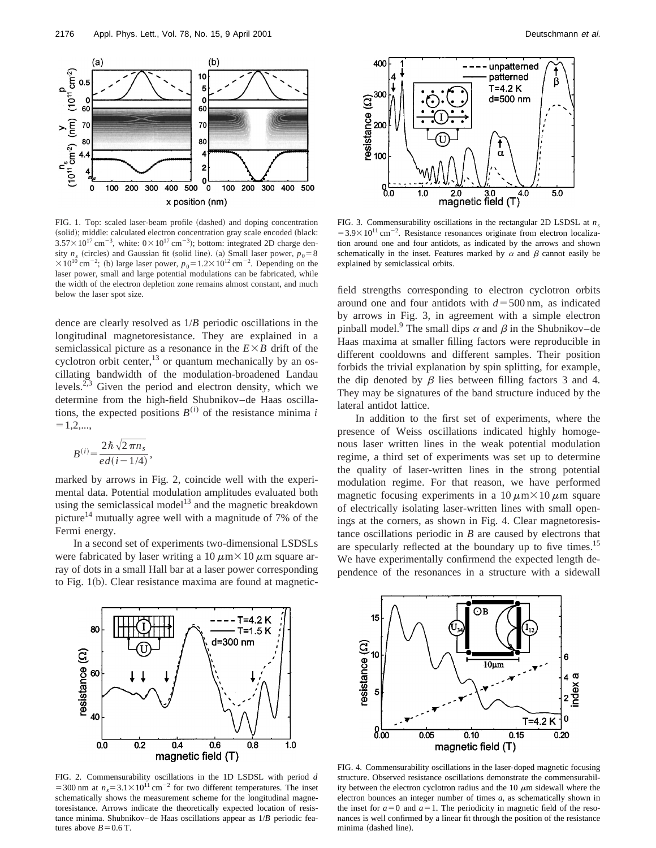

FIG. 1. Top: scaled laser-beam profile (dashed) and doping concentration (solid); middle: calculated electron concentration gray scale encoded (black:  $3.57 \times 10^{17}$  cm<sup>-3</sup>, white:  $0 \times 10^{17}$  cm<sup>-3</sup>); bottom: integrated 2D charge density  $n_s$  (circles) and Gaussian fit (solid line). (a) Small laser power,  $p_0 = 8$  $\times 10^{10}$  cm<sup>-2</sup>; (b) large laser power,  $p_0 = 1.2 \times 10^{12}$  cm<sup>-2</sup>. Depending on the laser power, small and large potential modulations can be fabricated, while the width of the electron depletion zone remains almost constant, and much below the laser spot size.

dence are clearly resolved as 1/*B* periodic oscillations in the longitudinal magnetoresistance. They are explained in a semiclassical picture as a resonance in the  $E \times B$  drift of the cyclotron orbit center, $^{13}$  or quantum mechanically by an oscillating bandwidth of the modulation-broadened Landau levels.<sup>2,3</sup> Given the period and electron density, which we determine from the high-field Shubnikov–de Haas oscillations, the expected positions  $B^{(i)}$  of the resistance minima *i*  $=1,2,...,$ 

$$
B^{(i)} = \frac{2\hbar\sqrt{2\,\pi n_s}}{ed(i-1/4)},
$$

marked by arrows in Fig. 2, coincide well with the experimental data. Potential modulation amplitudes evaluated both using the semiclassical model<sup>13</sup> and the magnetic breakdown picture<sup>14</sup> mutually agree well with a magnitude of 7% of the Fermi energy.

In a second set of experiments two-dimensional LSDSLs were fabricated by laser writing a  $10 \mu m \times 10 \mu m$  square array of dots in a small Hall bar at a laser power corresponding to Fig.  $1(b)$ . Clear resistance maxima are found at magnetic-



FIG. 3. Commensurability oscillations in the rectangular 2D LSDSL at *ns*  $=3.9\times10^{11}$  cm<sup>-2</sup>. Resistance resonances originate from electron localization around one and four antidots, as indicated by the arrows and shown schematically in the inset. Features marked by  $\alpha$  and  $\beta$  cannot easily be explained by semiclassical orbits.

field strengths corresponding to electron cyclotron orbits around one and four antidots with  $d = 500$  nm, as indicated by arrows in Fig. 3, in agreement with a simple electron pinball model.<sup>9</sup> The small dips  $\alpha$  and  $\beta$  in the Shubnikov–de Haas maxima at smaller filling factors were reproducible in different cooldowns and different samples. Their position forbids the trivial explanation by spin splitting, for example, the dip denoted by  $\beta$  lies between filling factors 3 and 4. They may be signatures of the band structure induced by the lateral antidot lattice.

In addition to the first set of experiments, where the presence of Weiss oscillations indicated highly homogenous laser written lines in the weak potential modulation regime, a third set of experiments was set up to determine the quality of laser-written lines in the strong potential modulation regime. For that reason, we have performed magnetic focusing experiments in a  $10 \mu m \times 10 \mu m$  square of electrically isolating laser-written lines with small openings at the corners, as shown in Fig. 4. Clear magnetoresistance oscillations periodic in *B* are caused by electrons that are specularly reflected at the boundary up to five times.<sup>15</sup> We have experimentally confirmend the expected length dependence of the resonances in a structure with a sidewall



FIG. 2. Commensurability oscillations in the 1D LSDSL with period *d* =300 nm at  $n_s$ =3.1×10<sup>11</sup> cm<sup>-2</sup> for two different temperatures. The inset schematically shows the measurement scheme for the longitudinal magnetoresistance. Arrows indicate the theoretically expected location of resistance minima. Shubnikov–de Haas oscillations appear as 1/*B* periodic features above  $B=0.6$  T.



FIG. 4. Commensurability oscillations in the laser-doped magnetic focusing structure. Observed resistance oscillations demonstrate the commensurability between the electron cyclotron radius and the  $10 \mu m$  sidewall where the electron bounces an integer number of times *a*, as schematically shown in the inset for  $a=0$  and  $a=1$ . The periodicity in magnetic field of the resonances is well confirmed by a linear fit through the position of the resistance minima (dashed line).